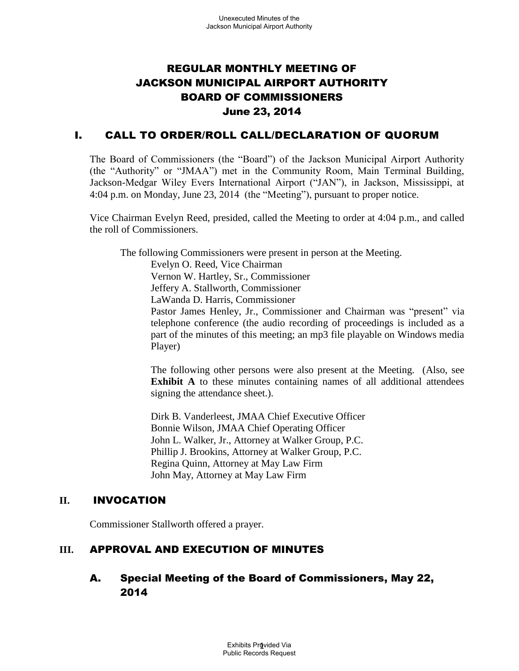# REGULAR MONTHLY MEETING OF JACKSON MUNICIPAL AIRPORT AUTHORITY BOARD OF COMMISSIONERS June 23, 2014

## I. CALL TO ORDER/ROLL CALL/DECLARATION OF QUORUM

The Board of Commissioners (the "Board") of the Jackson Municipal Airport Authority (the "Authority" or "JMAA") met in the Community Room, Main Terminal Building, Jackson-Medgar Wiley Evers International Airport ("JAN"), in Jackson, Mississippi, at 4:04 p.m. on Monday, June 23, 2014 (the "Meeting"), pursuant to proper notice.

Vice Chairman Evelyn Reed, presided, called the Meeting to order at 4:04 p.m., and called the roll of Commissioners.

The following Commissioners were present in person at the Meeting.

Evelyn O. Reed, Vice Chairman Vernon W. Hartley, Sr., Commissioner Jeffery A. Stallworth, Commissioner LaWanda D. Harris, Commissioner Pastor James Henley, Jr., Commissioner and Chairman was "present" via telephone conference (the audio recording of proceedings is included as a part of the minutes of this meeting; an mp3 file playable on Windows media Player)

The following other persons were also present at the Meeting. (Also, see **Exhibit A** to these minutes containing names of all additional attendees signing the attendance sheet.).

Dirk B. Vanderleest, JMAA Chief Executive Officer Bonnie Wilson, JMAA Chief Operating Officer John L. Walker, Jr., Attorney at Walker Group, P.C. Phillip J. Brookins, Attorney at Walker Group, P.C. Regina Quinn, Attorney at May Law Firm John May, Attorney at May Law Firm

## **II.** INVOCATION

Commissioner Stallworth offered a prayer.

## **III.** APPROVAL AND EXECUTION OF MINUTES

# A. Special Meeting of the Board of Commissioners, May 22, 2014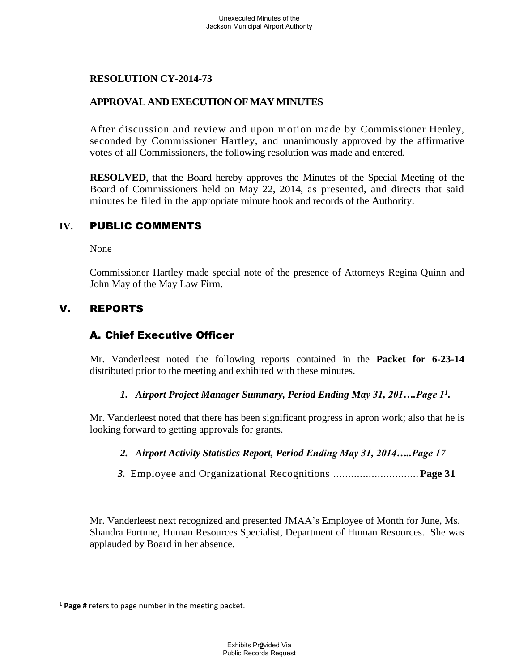## **APPROVAL AND EXECUTION OF MAY MINUTES**

After discussion and review and upon motion made by Commissioner Henley, seconded by Commissioner Hartley, and unanimously approved by the affirmative votes of all Commissioners, the following resolution was made and entered.

**RESOLVED**, that the Board hereby approves the Minutes of the Special Meeting of the Board of Commissioners held on May 22, 2014, as presented, and directs that said minutes be filed in the appropriate minute book and records of the Authority.

## **IV.** PUBLIC COMMENTS

None

Commissioner Hartley made special note of the presence of Attorneys Regina Quinn and John May of the May Law Firm.

# V. REPORTS

# A. Chief Executive Officer

Mr. Vanderleest noted the following reports contained in the **Packet for 6-23-14** distributed prior to the meeting and exhibited with these minutes.

#### *1. Airport Project Manager Summary, Period Ending May 31, 201….Page 1<sup>1</sup> .*

Mr. Vanderleest noted that there has been significant progress in apron work; also that he is looking forward to getting approvals for grants.

## *2. Airport Activity Statistics Report, Period Ending May 31, 2014…..Page 17*

 *3.* Employee and Organizational Recognitions .............................**Page 31** 

Mr. Vanderleest next recognized and presented JMAA's Employee of Month for June, Ms. Shandra Fortune, Human Resources Specialist, Department of Human Resources. She was applauded by Board in her absence.

 $\overline{a}$ 

<sup>1</sup> **Page #** refers to page number in the meeting packet.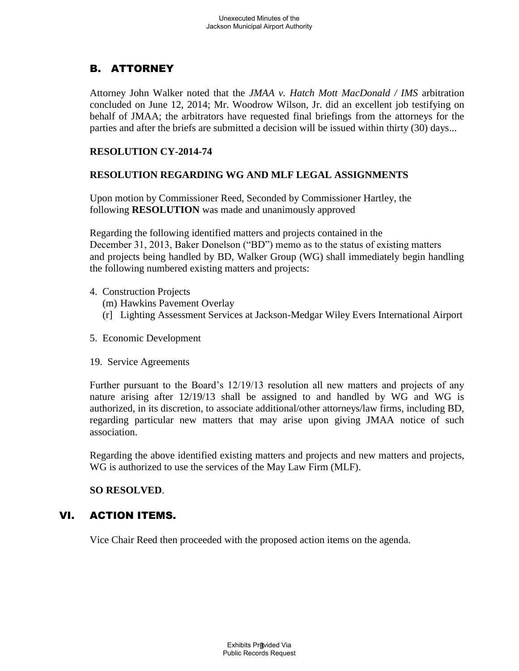# B. ATTORNEY

Attorney John Walker noted that the *JMAA v. Hatch Mott MacDonald / IMS* arbitration concluded on June 12, 2014; Mr. Woodrow Wilson, Jr. did an excellent job testifying on behalf of JMAA; the arbitrators have requested final briefings from the attorneys for the parties and after the briefs are submitted a decision will be issued within thirty (30) days...

## **RESOLUTION CY-2014-74**

## **RESOLUTION REGARDING WG AND MLF LEGAL ASSIGNMENTS**

Upon motion by Commissioner Reed, Seconded by Commissioner Hartley, the following **RESOLUTION** was made and unanimously approved

 Regarding the following identified matters and projects contained in the December 31, 2013, Baker Donelson ("BD") memo as to the status of existing matters and projects being handled by BD, Walker Group (WG) shall immediately begin handling the following numbered existing matters and projects:

- 4. Construction Projects
	- (m) Hawkins Pavement Overlay
	- (r] Lighting Assessment Services at Jackson-Medgar Wiley Evers International Airport
- 5. Economic Development
- 19. Service Agreements

Further pursuant to the Board's 12/19/13 resolution all new matters and projects of any nature arising after 12/19/13 shall be assigned to and handled by WG and WG is authorized, in its discretion, to associate additional/other attorneys/law firms, including BD, regarding particular new matters that may arise upon giving JMAA notice of such association.

Regarding the above identified existing matters and projects and new matters and projects, WG is authorized to use the services of the May Law Firm (MLF).

## **SO RESOLVED**.

## VI. ACTION ITEMS.

Vice Chair Reed then proceeded with the proposed action items on the agenda.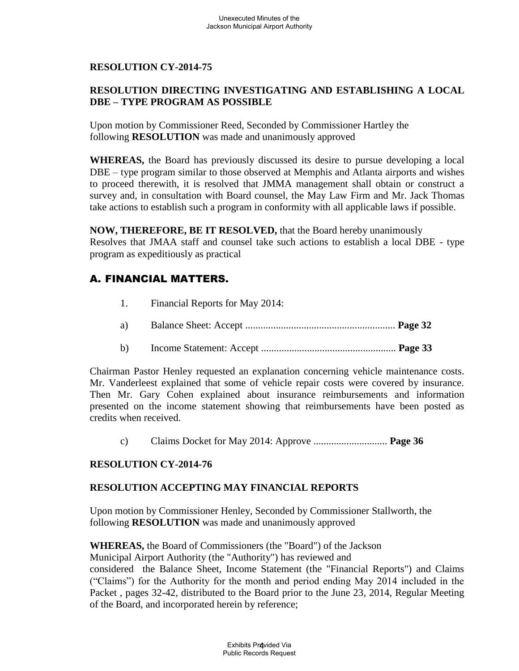## **RESOLUTION DIRECTING INVESTIGATING AND ESTABLISHING A LOCAL DBE – TYPE PROGRAM AS POSSIBLE**

Upon motion by Commissioner Reed, Seconded by Commissioner Hartley the following **RESOLUTION** was made and unanimously approved

**WHEREAS,** the Board has previously discussed its desire to pursue developing a local DBE – type program similar to those observed at Memphis and Atlanta airports and wishes to proceed therewith, it is resolved that JMMA management shall obtain or construct a survey and, in consultation with Board counsel, the May Law Firm and Mr. Jack Thomas take actions to establish such a program in conformity with all applicable laws if possible.

**NOW, THEREFORE, BE IT RESOLVED,** that the Board hereby unanimously Resolves that JMAA staff and counsel take such actions to establish a local DBE - type program as expeditiously as practical

# A. FINANCIAL MATTERS.

- 1. Financial Reports for May 2014:
- a) Balance Sheet: Accept ........................................................... **Page 32**
- b) Income Statement: Accept ..................................................... **Page 33**

Chairman Pastor Henley requested an explanation concerning vehicle maintenance costs. Mr. Vanderleest explained that some of vehicle repair costs were covered by insurance. Then Mr. Gary Cohen explained about insurance reimbursements and information presented on the income statement showing that reimbursements have been posted as credits when received.

c) Claims Docket for May 2014: Approve ............................. **Page 36** 

## **RESOLUTION CY-2014-76**

#### **RESOLUTION ACCEPTING MAY FINANCIAL REPORTS**

Upon motion by Commissioner Henley, Seconded by Commissioner Stallworth, the following **RESOLUTION** was made and unanimously approved

**WHEREAS,** the Board of Commissioners (the "Board") of the Jackson Municipal Airport Authority (the "Authority") has reviewed and considered the Balance Sheet, Income Statement (the "Financial Reports") and Claims ("Claims") for the Authority for the month and period ending May 2014 included in the Packet , pages 32-42, distributed to the Board prior to the June 23, 2014, Regular Meeting of the Board, and incorporated herein by reference;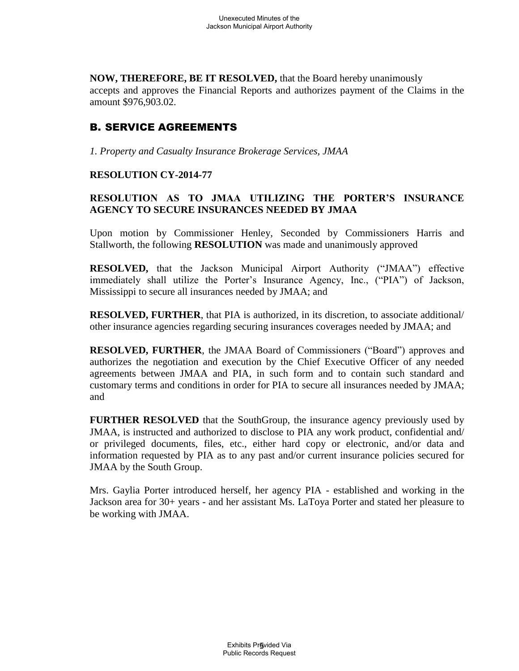**NOW, THEREFORE, BE IT RESOLVED,** that the Board hereby unanimously accepts and approves the Financial Reports and authorizes payment of the Claims in the amount \$976,903.02.

# B. SERVICE AGREEMENTS

*1. Property and Casualty Insurance Brokerage Services, JMAA*

## **RESOLUTION CY-2014-77**

## **RESOLUTION AS TO JMAA UTILIZING THE PORTER'S INSURANCE AGENCY TO SECURE INSURANCES NEEDED BY JMAA**

Upon motion by Commissioner Henley, Seconded by Commissioners Harris and Stallworth, the following **RESOLUTION** was made and unanimously approved

**RESOLVED,** that the Jackson Municipal Airport Authority ("JMAA") effective immediately shall utilize the Porter's Insurance Agency, Inc., ("PIA") of Jackson, Mississippi to secure all insurances needed by JMAA; and

**RESOLVED, FURTHER**, that PIA is authorized, in its discretion, to associate additional/ other insurance agencies regarding securing insurances coverages needed by JMAA; and

**RESOLVED, FURTHER**, the JMAA Board of Commissioners ("Board") approves and authorizes the negotiation and execution by the Chief Executive Officer of any needed agreements between JMAA and PIA, in such form and to contain such standard and customary terms and conditions in order for PIA to secure all insurances needed by JMAA; and

**FURTHER RESOLVED** that the SouthGroup, the insurance agency previously used by JMAA, is instructed and authorized to disclose to PIA any work product, confidential and/ or privileged documents, files, etc., either hard copy or electronic, and/or data and information requested by PIA as to any past and/or current insurance policies secured for JMAA by the South Group.

Mrs. Gaylia Porter introduced herself, her agency PIA - established and working in the Jackson area for 30+ years - and her assistant Ms. LaToya Porter and stated her pleasure to be working with JMAA.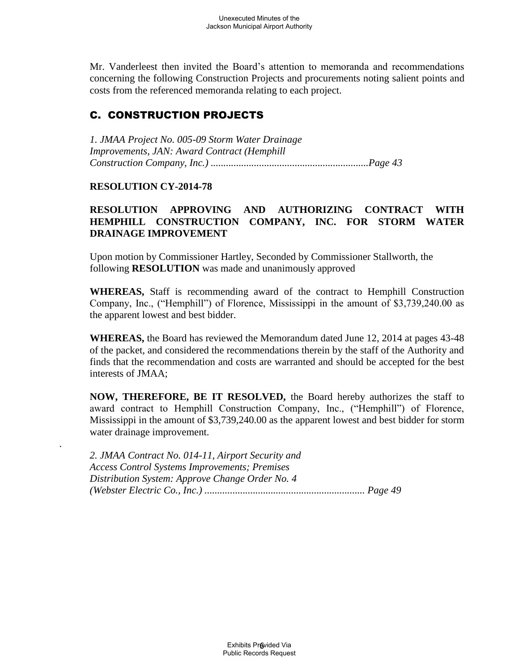Mr. Vanderleest then invited the Board's attention to memoranda and recommendations concerning the following Construction Projects and procurements noting salient points and costs from the referenced memoranda relating to each project.

# C. CONSTRUCTION PROJECTS

*1. JMAA Project No. 005-09 Storm Water Drainage Improvements, JAN: Award Contract (Hemphill Construction Company, Inc.) ..............................................................Page 43* 

## **RESOLUTION CY-2014-78**

.

## **RESOLUTION APPROVING AND AUTHORIZING CONTRACT WITH HEMPHILL CONSTRUCTION COMPANY, INC. FOR STORM WATER DRAINAGE IMPROVEMENT**

Upon motion by Commissioner Hartley, Seconded by Commissioner Stallworth, the following **RESOLUTION** was made and unanimously approved

**WHEREAS,** Staff is recommending award of the contract to Hemphill Construction Company, Inc., ("Hemphill") of Florence, Mississippi in the amount of \$3,739,240.00 as the apparent lowest and best bidder.

**WHEREAS,** the Board has reviewed the Memorandum dated June 12, 2014 at pages 43-48 of the packet, and considered the recommendations therein by the staff of the Authority and finds that the recommendation and costs are warranted and should be accepted for the best interests of JMAA;

**NOW, THEREFORE, BE IT RESOLVED,** the Board hereby authorizes the staff to award contract to Hemphill Construction Company, Inc., ("Hemphill") of Florence, Mississippi in the amount of \$3,739,240.00 as the apparent lowest and best bidder for storm water drainage improvement.

*2. JMAA Contract No. 014-11, Airport Security and Access Control Systems Improvements; Premises Distribution System: Approve Change Order No. 4 (Webster Electric Co., Inc.) ............................................................... Page 49*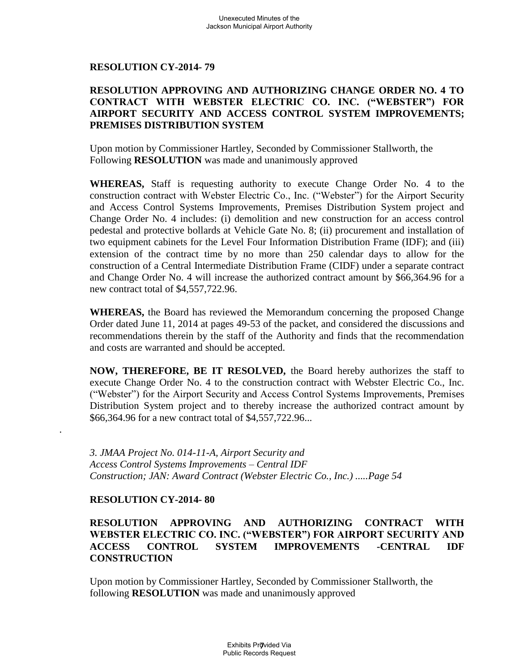#### **RESOLUTION APPROVING AND AUTHORIZING CHANGE ORDER NO. 4 TO CONTRACT WITH WEBSTER ELECTRIC CO. INC. ("WEBSTER") FOR AIRPORT SECURITY AND ACCESS CONTROL SYSTEM IMPROVEMENTS; PREMISES DISTRIBUTION SYSTEM**

Upon motion by Commissioner Hartley, Seconded by Commissioner Stallworth, the Following **RESOLUTION** was made and unanimously approved

**WHEREAS,** Staff is requesting authority to execute Change Order No. 4 to the construction contract with Webster Electric Co., Inc. ("Webster") for the Airport Security and Access Control Systems Improvements, Premises Distribution System project and Change Order No. 4 includes: (i) demolition and new construction for an access control pedestal and protective bollards at Vehicle Gate No. 8; (ii) procurement and installation of two equipment cabinets for the Level Four Information Distribution Frame (IDF); and (iii) extension of the contract time by no more than 250 calendar days to allow for the construction of a Central Intermediate Distribution Frame (CIDF) under a separate contract and Change Order No. 4 will increase the authorized contract amount by \$66,364.96 for a new contract total of \$4,557,722.96.

**WHEREAS,** the Board has reviewed the Memorandum concerning the proposed Change Order dated June 11, 2014 at pages 49-53 of the packet, and considered the discussions and recommendations therein by the staff of the Authority and finds that the recommendation and costs are warranted and should be accepted.

**NOW, THEREFORE, BE IT RESOLVED,** the Board hereby authorizes the staff to execute Change Order No. 4 to the construction contract with Webster Electric Co., Inc. ("Webster") for the Airport Security and Access Control Systems Improvements, Premises Distribution System project and to thereby increase the authorized contract amount by \$66,364.96 for a new contract total of \$4,557,722.96...

*3. JMAA Project No. 014-11-A, Airport Security and Access Control Systems Improvements – Central IDF Construction; JAN: Award Contract (Webster Electric Co., Inc.) .....Page 54* 

## **RESOLUTION CY-2014- 80**

.

## **RESOLUTION APPROVING AND AUTHORIZING CONTRACT WITH WEBSTER ELECTRIC CO. INC. ("WEBSTER") FOR AIRPORT SECURITY AND ACCESS CONTROL SYSTEM IMPROVEMENTS -CENTRAL IDF CONSTRUCTION**

Upon motion by Commissioner Hartley, Seconded by Commissioner Stallworth, the following **RESOLUTION** was made and unanimously approved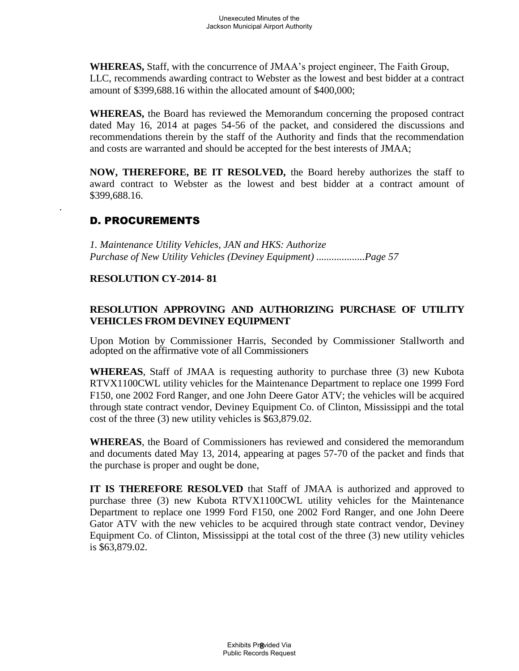**WHEREAS,** Staff, with the concurrence of JMAA's project engineer, The Faith Group, LLC, recommends awarding contract to Webster as the lowest and best bidder at a contract amount of \$399,688.16 within the allocated amount of \$400,000;

**WHEREAS,** the Board has reviewed the Memorandum concerning the proposed contract dated May 16, 2014 at pages 54-56 of the packet, and considered the discussions and recommendations therein by the staff of the Authority and finds that the recommendation and costs are warranted and should be accepted for the best interests of JMAA;

**NOW, THEREFORE, BE IT RESOLVED,** the Board hereby authorizes the staff to award contract to Webster as the lowest and best bidder at a contract amount of \$399,688.16.

# D. PROCUREMENTS

.

*1. Maintenance Utility Vehicles, JAN and HKS: Authorize Purchase of New Utility Vehicles (Deviney Equipment) ...................Page 57* 

## **RESOLUTION CY-2014- 81**

## **RESOLUTION APPROVING AND AUTHORIZING PURCHASE OF UTILITY VEHICLES FROM DEVINEY EQUIPMENT**

Upon Motion by Commissioner Harris, Seconded by Commissioner Stallworth and adopted on the affirmative vote of all Commissioners

**WHEREAS**, Staff of JMAA is requesting authority to purchase three (3) new Kubota RTVX1100CWL utility vehicles for the Maintenance Department to replace one 1999 Ford F150, one 2002 Ford Ranger, and one John Deere Gator ATV; the vehicles will be acquired through state contract vendor, Deviney Equipment Co. of Clinton, Mississippi and the total cost of the three (3) new utility vehicles is \$63,879.02.

**WHEREAS**, the Board of Commissioners has reviewed and considered the memorandum and documents dated May 13, 2014, appearing at pages 57-70 of the packet and finds that the purchase is proper and ought be done,

**IT IS THEREFORE RESOLVED** that Staff of JMAA is authorized and approved to purchase three (3) new Kubota RTVX1100CWL utility vehicles for the Maintenance Department to replace one 1999 Ford F150, one 2002 Ford Ranger, and one John Deere Gator ATV with the new vehicles to be acquired through state contract vendor, Deviney Equipment Co. of Clinton, Mississippi at the total cost of the three (3) new utility vehicles is \$63,879.02.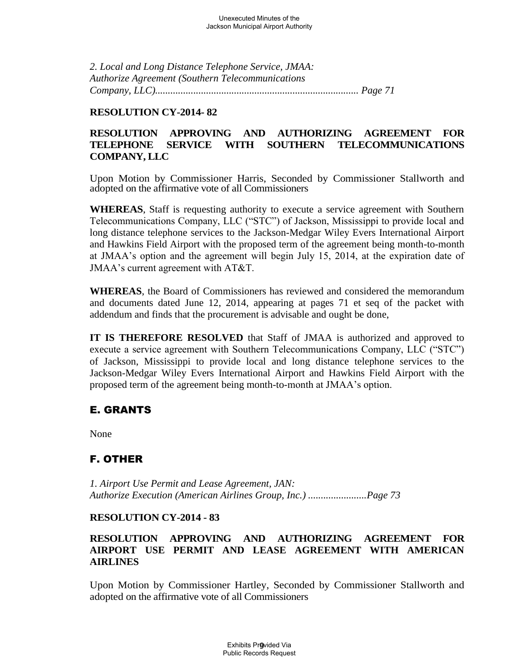*2. Local and Long Distance Telephone Service, JMAA: Authorize Agreement (Southern Telecommunications Company, LLC)................................................................................ Page 71* 

#### **RESOLUTION CY-2014- 82**

## **RESOLUTION APPROVING AND AUTHORIZING AGREEMENT FOR TELEPHONE SERVICE WITH SOUTHERN TELECOMMUNICATIONS COMPANY, LLC**

Upon Motion by Commissioner Harris, Seconded by Commissioner Stallworth and adopted on the affirmative vote of all Commissioners

**WHEREAS**, Staff is requesting authority to execute a service agreement with Southern Telecommunications Company, LLC ("STC") of Jackson, Mississippi to provide local and long distance telephone services to the Jackson-Medgar Wiley Evers International Airport and Hawkins Field Airport with the proposed term of the agreement being month-to-month at JMAA's option and the agreement will begin July 15, 2014, at the expiration date of JMAA's current agreement with AT&T.

**WHEREAS**, the Board of Commissioners has reviewed and considered the memorandum and documents dated June 12, 2014, appearing at pages 71 et seq of the packet with addendum and finds that the procurement is advisable and ought be done,

**IT IS THEREFORE RESOLVED** that Staff of JMAA is authorized and approved to execute a service agreement with Southern Telecommunications Company, LLC ("STC") of Jackson, Mississippi to provide local and long distance telephone services to the Jackson-Medgar Wiley Evers International Airport and Hawkins Field Airport with the proposed term of the agreement being month-to-month at JMAA's option.

## E. GRANTS

None

## F. OTHER

*1. Airport Use Permit and Lease Agreement, JAN: Authorize Execution (American Airlines Group, Inc.) .......................Page 73* 

## **RESOLUTION CY-2014 - 83**

## **RESOLUTION APPROVING AND AUTHORIZING AGREEMENT FOR AIRPORT USE PERMIT AND LEASE AGREEMENT WITH AMERICAN AIRLINES**

Upon Motion by Commissioner Hartley, Seconded by Commissioner Stallworth and adopted on the affirmative vote of all Commissioners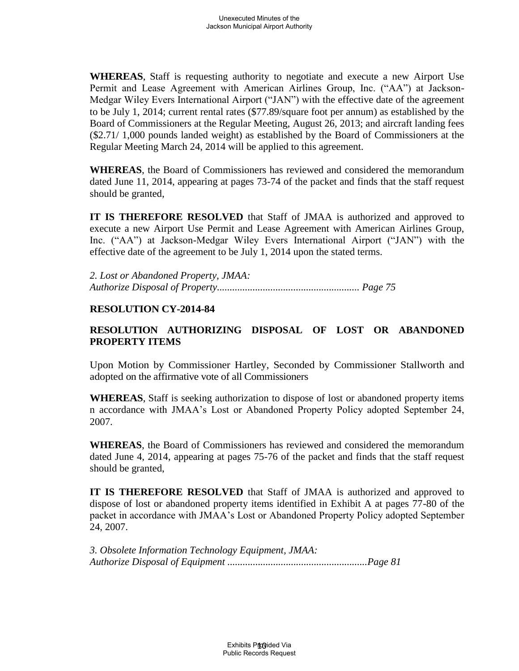**WHEREAS**, Staff is requesting authority to negotiate and execute a new Airport Use Permit and Lease Agreement with American Airlines Group, Inc. ("AA") at Jackson-Medgar Wiley Evers International Airport ("JAN") with the effective date of the agreement to be July 1, 2014; current rental rates (\$77.89/square foot per annum) as established by the Board of Commissioners at the Regular Meeting, August 26, 2013; and aircraft landing fees (\$2.71/ 1,000 pounds landed weight) as established by the Board of Commissioners at the Regular Meeting March 24, 2014 will be applied to this agreement.

**WHEREAS**, the Board of Commissioners has reviewed and considered the memorandum dated June 11, 2014, appearing at pages 73-74 of the packet and finds that the staff request should be granted,

**IT IS THEREFORE RESOLVED** that Staff of JMAA is authorized and approved to execute a new Airport Use Permit and Lease Agreement with American Airlines Group, Inc. ("AA") at Jackson-Medgar Wiley Evers International Airport ("JAN") with the effective date of the agreement to be July 1, 2014 upon the stated terms.

*2. Lost or Abandoned Property, JMAA: Authorize Disposal of Property........................................................ Page 75* 

## **RESOLUTION CY-2014-84**

## **RESOLUTION AUTHORIZING DISPOSAL OF LOST OR ABANDONED PROPERTY ITEMS**

Upon Motion by Commissioner Hartley, Seconded by Commissioner Stallworth and adopted on the affirmative vote of all Commissioners

**WHEREAS**, Staff is seeking authorization to dispose of lost or abandoned property items n accordance with JMAA's Lost or Abandoned Property Policy adopted September 24, 2007.

**WHEREAS**, the Board of Commissioners has reviewed and considered the memorandum dated June 4, 2014, appearing at pages 75-76 of the packet and finds that the staff request should be granted,

**IT IS THEREFORE RESOLVED** that Staff of JMAA is authorized and approved to dispose of lost or abandoned property items identified in Exhibit A at pages 77-80 of the packet in accordance with JMAA's Lost or Abandoned Property Policy adopted September 24, 2007.

*3. Obsolete Information Technology Equipment, JMAA: Authorize Disposal of Equipment .......................................................Page 81*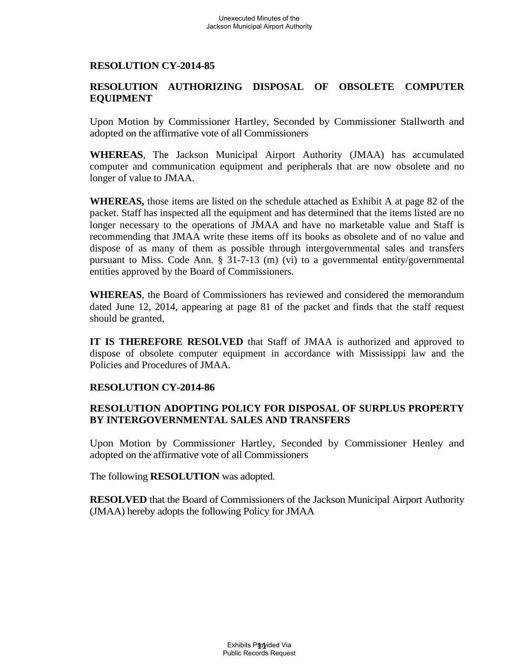## **RESOLUTION AUTHORIZING DISPOSAL OF OBSOLETE COMPUTER EQUIPMENT**

Upon Motion by Commissioner Hartley, Seconded by Commissioner Stallworth and adopted on the affirmative vote of all Commissioners

**WHEREAS**, The Jackson Municipal Airport Authority (JMAA) has accumulated computer and communication equipment and peripherals that are now obsolete and no longer of value to JMAA.

**WHEREAS,** those items are listed on the schedule attached as Exhibit A at page 82 of the packet. Staff has inspected all the equipment and has determined that the items listed are no longer necessary to the operations of JMAA and have no marketable value and Staff is recommending that JMAA write these items off its books as obsolete and of no value and dispose of as many of them as possible through intergovernmental sales and transfers pursuant to Miss. Code Ann. § 31-7-13 (m) (vi) to a governmental entity/governmental entities approved by the Board of Commissioners.

**WHEREAS**, the Board of Commissioners has reviewed and considered the memorandum dated June 12, 2014, appearing at page 81 of the packet and finds that the staff request should be granted,

**IT IS THEREFORE RESOLVED** that Staff of JMAA is authorized and approved to dispose of obsolete computer equipment in accordance with Mississippi law and the Policies and Procedures of JMAA.

## **RESOLUTION CY-2014-86**

## **RESOLUTION ADOPTING POLICY FOR DISPOSAL OF SURPLUS PROPERTY BY INTERGOVERNMENTAL SALES AND TRANSFERS**

Upon Motion by Commissioner Hartley, Seconded by Commissioner Henley and adopted on the affirmative vote of all Commissioners

The following **RESOLUTION** was adopted.

**RESOLVED** that the Board of Commissioners of the Jackson Municipal Airport Authority (JMAA) hereby adopts the following Policy for JMAA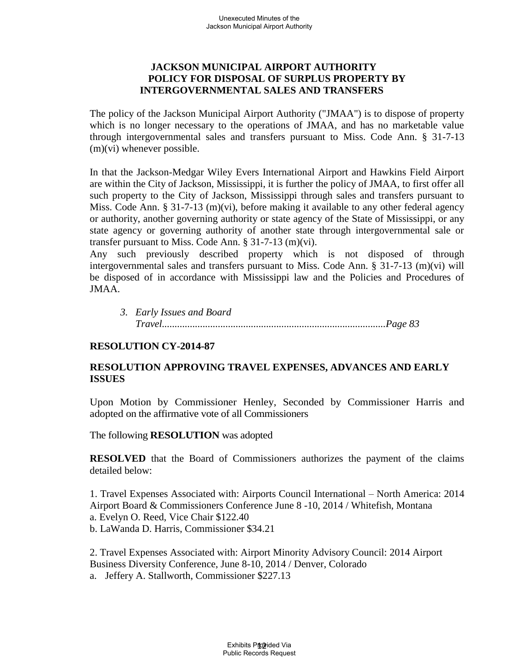## **JACKSON MUNICIPAL AIRPORT AUTHORITY POLICY FOR DISPOSAL OF SURPLUS PROPERTY BY INTERGOVERNMENTAL SALES AND TRANSFERS**

The policy of the Jackson Municipal Airport Authority ("JMAA") is to dispose of property which is no longer necessary to the operations of JMAA, and has no marketable value through intergovernmental sales and transfers pursuant to Miss. Code Ann. § 31-7-13 (m)(vi) whenever possible.

In that the Jackson-Medgar Wiley Evers International Airport and Hawkins Field Airport are within the City of Jackson, Mississippi, it is further the policy of JMAA, to first offer all such property to the City of Jackson, Mississippi through sales and transfers pursuant to Miss. Code Ann. § 31-7-13 (m)(vi), before making it available to any other federal agency or authority, another governing authority or state agency of the State of Mississippi, or any state agency or governing authority of another state through intergovernmental sale or transfer pursuant to Miss. Code Ann. § 31-7-13 (m)(vi).

Any such previously described property which is not disposed of through intergovernmental sales and transfers pursuant to Miss. Code Ann. § 31-7-13 (m)(vi) will be disposed of in accordance with Mississippi law and the Policies and Procedures of JMAA.

*3. Early Issues and Board Travel........................................................................................Page 83* 

## **RESOLUTION CY-2014-87**

## **RESOLUTION APPROVING TRAVEL EXPENSES, ADVANCES AND EARLY ISSUES**

Upon Motion by Commissioner Henley, Seconded by Commissioner Harris and adopted on the affirmative vote of all Commissioners

The following **RESOLUTION** was adopted

**RESOLVED** that the Board of Commissioners authorizes the payment of the claims detailed below:

1. Travel Expenses Associated with: Airports Council International – North America: 2014 Airport Board & Commissioners Conference June 8 -10, 2014 / Whitefish, Montana a. Evelyn O. Reed, Vice Chair \$122.40 b. LaWanda D. Harris, Commissioner \$34.21

2. Travel Expenses Associated with: Airport Minority Advisory Council: 2014 Airport Business Diversity Conference, June 8-10, 2014 / Denver, Colorado a. Jeffery A. Stallworth, Commissioner \$227.13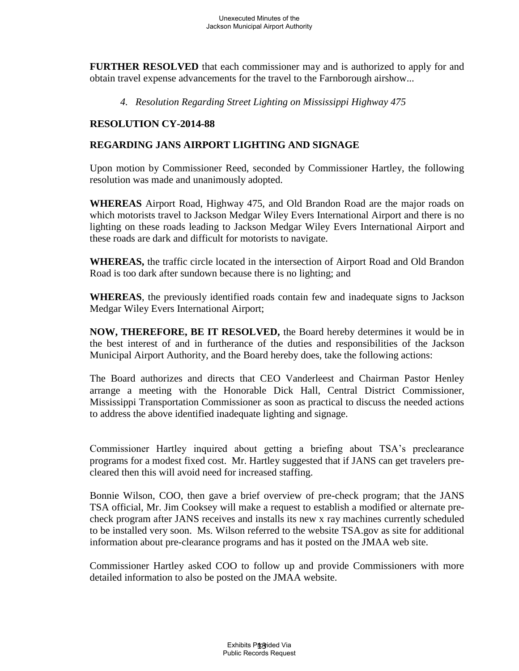**FURTHER RESOLVED** that each commissioner may and is authorized to apply for and obtain travel expense advancements for the travel to the Farnborough airshow...

*4. Resolution Regarding Street Lighting on Mississippi Highway 475* 

## **RESOLUTION CY-2014-88**

## **REGARDING JANS AIRPORT LIGHTING AND SIGNAGE**

Upon motion by Commissioner Reed, seconded by Commissioner Hartley, the following resolution was made and unanimously adopted.

**WHEREAS** Airport Road, Highway 475, and Old Brandon Road are the major roads on which motorists travel to Jackson Medgar Wiley Evers International Airport and there is no lighting on these roads leading to Jackson Medgar Wiley Evers International Airport and these roads are dark and difficult for motorists to navigate.

**WHEREAS,** the traffic circle located in the intersection of Airport Road and Old Brandon Road is too dark after sundown because there is no lighting; and

**WHEREAS**, the previously identified roads contain few and inadequate signs to Jackson Medgar Wiley Evers International Airport;

**NOW, THEREFORE, BE IT RESOLVED,** the Board hereby determines it would be in the best interest of and in furtherance of the duties and responsibilities of the Jackson Municipal Airport Authority, and the Board hereby does, take the following actions:

The Board authorizes and directs that CEO Vanderleest and Chairman Pastor Henley arrange a meeting with the Honorable Dick Hall, Central District Commissioner, Mississippi Transportation Commissioner as soon as practical to discuss the needed actions to address the above identified inadequate lighting and signage.

Commissioner Hartley inquired about getting a briefing about TSA's preclearance programs for a modest fixed cost. Mr. Hartley suggested that if JANS can get travelers precleared then this will avoid need for increased staffing.

Bonnie Wilson, COO, then gave a brief overview of pre-check program; that the JANS TSA official, Mr. Jim Cooksey will make a request to establish a modified or alternate precheck program after JANS receives and installs its new x ray machines currently scheduled to be installed very soon. Ms. Wilson referred to the website TSA.gov as site for additional information about pre-clearance programs and has it posted on the JMAA web site.

Commissioner Hartley asked COO to follow up and provide Commissioners with more detailed information to also be posted on the JMAA website.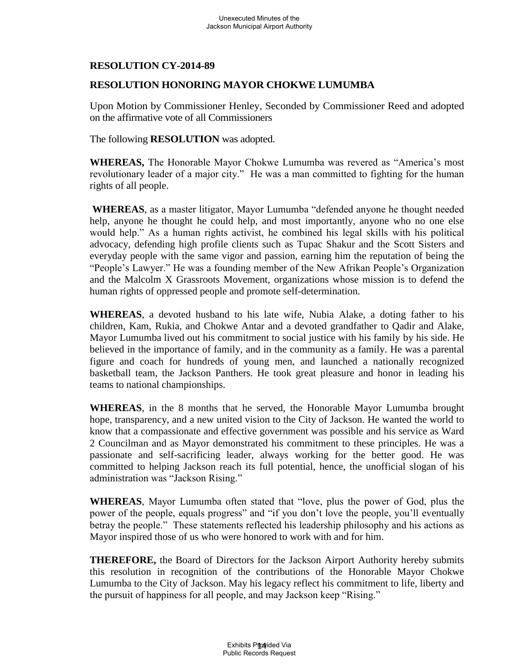## **RESOLUTION HONORING MAYOR CHOKWE LUMUMBA**

Upon Motion by Commissioner Henley, Seconded by Commissioner Reed and adopted on the affirmative vote of all Commissioners

The following **RESOLUTION** was adopted.

**WHEREAS,** The Honorable Mayor Chokwe Lumumba was revered as "America's most revolutionary leader of a major city." He was a man committed to fighting for the human rights of all people.

**WHEREAS**, as a master litigator, Mayor Lumumba "defended anyone he thought needed help, anyone he thought he could help, and most importantly, anyone who no one else would help." As a human rights activist, he combined his legal skills with his political advocacy, defending high profile clients such as Tupac Shakur and the Scott Sisters and everyday people with the same vigor and passion, earning him the reputation of being the "People's Lawyer." He was a founding member of the New Afrikan People's Organization and the Malcolm X Grassroots Movement, organizations whose mission is to defend the human rights of oppressed people and promote self-determination.

**WHEREAS**, a devoted husband to his late wife, Nubia Alake, a doting father to his children, Kam, Rukia, and Chokwe Antar and a devoted grandfather to Qadir and Alake, Mayor Lumumba lived out his commitment to social justice with his family by his side. He believed in the importance of family, and in the community as a family. He was a parental figure and coach for hundreds of young men, and launched a nationally recognized basketball team, the Jackson Panthers. He took great pleasure and honor in leading his teams to national championships.

**WHEREAS**, in the 8 months that he served, the Honorable Mayor Lumumba brought hope, transparency, and a new united vision to the City of Jackson. He wanted the world to know that a compassionate and effective government was possible and his service as Ward 2 Councilman and as Mayor demonstrated his commitment to these principles. He was a passionate and self-sacrificing leader, always working for the better good. He was committed to helping Jackson reach its full potential, hence, the unofficial slogan of his administration was "Jackson Rising."

**WHEREAS**, Mayor Lumumba often stated that "love, plus the power of God, plus the power of the people, equals progress" and "if you don't love the people, you'll eventually betray the people." These statements reflected his leadership philosophy and his actions as Mayor inspired those of us who were honored to work with and for him.

**THEREFORE,** the Board of Directors for the Jackson Airport Authority hereby submits this resolution in recognition of the contributions of the Honorable Mayor Chokwe Lumumba to the City of Jackson. May his legacy reflect his commitment to life, liberty and the pursuit of happiness for all people, and may Jackson keep "Rising."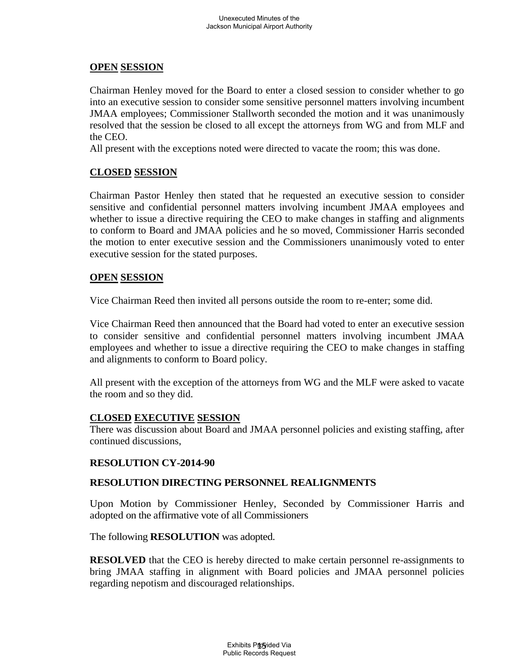## **OPEN SESSION**

Chairman Henley moved for the Board to enter a closed session to consider whether to go into an executive session to consider some sensitive personnel matters involving incumbent JMAA employees; Commissioner Stallworth seconded the motion and it was unanimously resolved that the session be closed to all except the attorneys from WG and from MLF and the CEO.

All present with the exceptions noted were directed to vacate the room; this was done.

## **CLOSED SESSION**

Chairman Pastor Henley then stated that he requested an executive session to consider sensitive and confidential personnel matters involving incumbent JMAA employees and whether to issue a directive requiring the CEO to make changes in staffing and alignments to conform to Board and JMAA policies and he so moved, Commissioner Harris seconded the motion to enter executive session and the Commissioners unanimously voted to enter executive session for the stated purposes.

## **OPEN SESSION**

Vice Chairman Reed then invited all persons outside the room to re-enter; some did.

Vice Chairman Reed then announced that the Board had voted to enter an executive session to consider sensitive and confidential personnel matters involving incumbent JMAA employees and whether to issue a directive requiring the CEO to make changes in staffing and alignments to conform to Board policy.

All present with the exception of the attorneys from WG and the MLF were asked to vacate the room and so they did.

## **CLOSED EXECUTIVE SESSION**

There was discussion about Board and JMAA personnel policies and existing staffing, after continued discussions,

## **RESOLUTION CY-2014-90**

## **RESOLUTION DIRECTING PERSONNEL REALIGNMENTS**

Upon Motion by Commissioner Henley, Seconded by Commissioner Harris and adopted on the affirmative vote of all Commissioners

The following **RESOLUTION** was adopted.

**RESOLVED** that the CEO is hereby directed to make certain personnel re-assignments to bring JMAA staffing in alignment with Board policies and JMAA personnel policies regarding nepotism and discouraged relationships.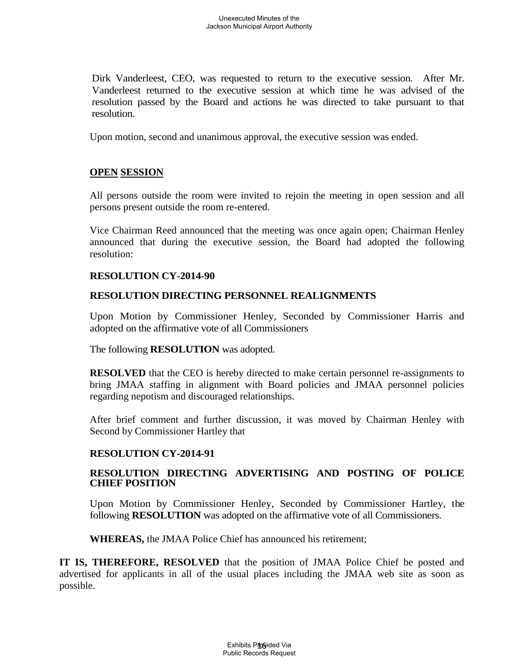Dirk Vanderleest, CEO, was requested to return to the executive session. After Mr. Vanderleest returned to the executive session at which time he was advised of the resolution passed by the Board and actions he was directed to take pursuant to that resolution.

Upon motion, second and unanimous approval, the executive session was ended.

## **OPEN SESSION**

All persons outside the room were invited to rejoin the meeting in open session and all persons present outside the room re-entered.

Vice Chairman Reed announced that the meeting was once again open; Chairman Henley announced that during the executive session, the Board had adopted the following resolution:

#### **RESOLUTION CY-2014-90**

#### **RESOLUTION DIRECTING PERSONNEL REALIGNMENTS**

Upon Motion by Commissioner Henley, Seconded by Commissioner Harris and adopted on the affirmative vote of all Commissioners

The following **RESOLUTION** was adopted.

**RESOLVED** that the CEO is hereby directed to make certain personnel re-assignments to bring JMAA staffing in alignment with Board policies and JMAA personnel policies regarding nepotism and discouraged relationships.

After brief comment and further discussion, it was moved by Chairman Henley with Second by Commissioner Hartley that

## **RESOLUTION CY-2014-91**

#### **RESOLUTION DIRECTING ADVERTISING AND POSTING OF POLICE CHIEF POSITION**

Upon Motion by Commissioner Henley, Seconded by Commissioner Hartley, the following **RESOLUTION** was adopted on the affirmative vote of all Commissioners.

**WHEREAS,** the JMAA Police Chief has announced his retirement;

**IT IS, THEREFORE, RESOLVED** that the position of JMAA Police Chief be posted and advertised for applicants in all of the usual places including the JMAA web site as soon as possible.